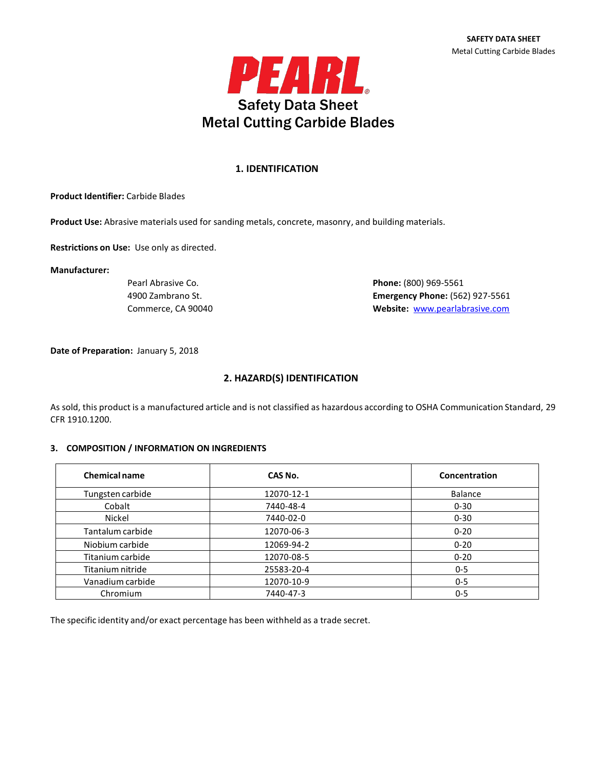

## **1. IDENTIFICATION**

**Product Identifier:** Carbide Blades

**Product Use:** Abrasive materials used for sanding metals, concrete, masonry, and building materials.

**Restrictions on Use:** Use only as directed.

**Manufacturer:**

Pearl Abrasive Co. **Phone:** (800) 969-5561 4900 Zambrano St. **Emergency Phone:** (562) 927-5561 Commerce, CA 90040 **Website:** [www.pearlabrasive.com](http://www.pearlabrasive.com/)

**Date of Preparation:** January 5, 2018

## **2. HAZARD(S) IDENTIFICATION**

As sold, this product is a manufactured article and is not classified as hazardous according to OSHA Communication Standard, 29 CFR 1910.1200.

#### **3. COMPOSITION / INFORMATION ON INGREDIENTS**

| <b>Chemical name</b> | CAS No.    | Concentration  |
|----------------------|------------|----------------|
| Tungsten carbide     | 12070-12-1 | <b>Balance</b> |
| Cobalt               | 7440-48-4  | $0 - 30$       |
| Nickel               | 7440-02-0  | $0 - 30$       |
| Tantalum carbide     | 12070-06-3 | $0 - 20$       |
| Niobium carbide      | 12069-94-2 | $0 - 20$       |
| Titanium carbide     | 12070-08-5 | $0 - 20$       |
| Titanium nitride     | 25583-20-4 | $0 - 5$        |
| Vanadium carbide     | 12070-10-9 | $0 - 5$        |
| Chromium             | 7440-47-3  | $0 - 5$        |

The specific identity and/or exact percentage has been withheld as a trade secret.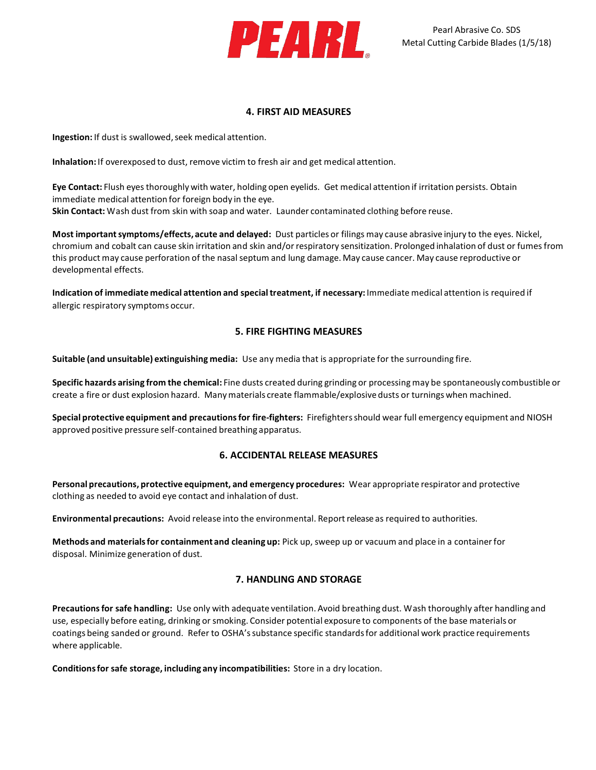

## **4. FIRST AID MEASURES**

**Ingestion:** If dust is swallowed, seek medical attention.

**Inhalation:**If overexposed to dust, remove victim to fresh air and get medical attention.

**Eye Contact:** Flush eyesthoroughly with water, holding open eyelids. Get medical attention if irritation persists. Obtain immediate medical attention for foreign body in the eye. **Skin Contact:** Wash dust from skin with soap and water. Launder contaminated clothing before reuse.

**Most importantsymptoms/effects, acute and delayed:** Dust particles or filings may cause abrasive injury to the eyes. Nickel, chromium and cobalt can cause skin irritation and skin and/or respiratory sensitization. Prolonged inhalation of dust or fumes from this product may cause perforation of the nasalseptum and lung damage. May cause cancer. May cause reproductive or developmental effects.

**Indication of immediate medical attention and specialtreatment, if necessary:** Immediate medical attention is required if allergic respiratory symptoms occur.

# **5. FIRE FIGHTING MEASURES**

**Suitable (and unsuitable) extinguishing media:** Use any media that is appropriate for the surrounding fire.

**Specific hazards arising from the chemical:** Fine dusts created during grinding or processing may be spontaneously combustible or create a fire or dust explosion hazard. Manymaterials create flammable/explosive dusts or turnings when machined.

**Special protective equipment and precautionsfor fire-fighters:** Firefightersshould wear full emergency equipment and NIOSH approved positive pressure self-contained breathing apparatus.

# **6. ACCIDENTAL RELEASE MEASURES**

**Personal precautions, protective equipment, and emergency procedures:** Wear appropriate respirator and protective clothing as needed to avoid eye contact and inhalation of dust.

**Environmental precautions:** Avoid release into the environmental. Reportrelease as required to authorities.

**Methods and materialsfor containment and cleaning up:** Pick up, sweep up or vacuum and place in a containerfor disposal. Minimize generation of dust.

# **7. HANDLING AND STORAGE**

Precautions for safe handling: Use only with adequate ventilation. Avoid breathing dust. Wash thoroughly after handling and use, especially before eating, drinking or smoking. Consider potential exposure to components of the base materials or coatings being sanded or ground. Refer to OSHA's substance specific standards for additional work practice requirements where applicable.

**Conditionsfor safe storage, including any incompatibilities:** Store in a dry location.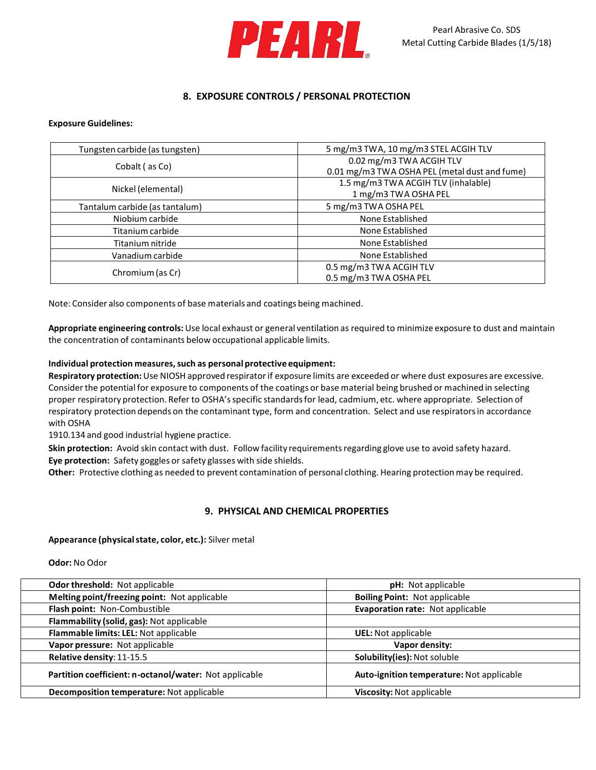

# **8. EXPOSURE CONTROLS / PERSONAL PROTECTION**

### **Exposure Guidelines:**

| Tungsten carbide (as tungsten) | 5 mg/m3 TWA, 10 mg/m3 STEL ACGIH TLV          |
|--------------------------------|-----------------------------------------------|
| Cobalt (as Co)                 | 0.02 mg/m3 TWA ACGIH TLV                      |
|                                | 0.01 mg/m3 TWA OSHA PEL (metal dust and fume) |
|                                | 1.5 mg/m3 TWA ACGIH TLV (inhalable)           |
| Nickel (elemental)             | 1 mg/m3 TWA OSHA PEL                          |
| Tantalum carbide (as tantalum) | 5 mg/m3 TWA OSHA PEL                          |
| Niobium carbide                | None Established                              |
| Titanium carbide               | None Established                              |
| Titanium nitride               | None Established                              |
| Vanadium carbide               | None Established                              |
|                                | 0.5 mg/m3 TWA ACGIH TLV                       |
| Chromium (as Cr)               | 0.5 mg/m3 TWA OSHA PEL                        |

Note: Consider also components of base materials and coatings being machined.

**Appropriate engineering controls:**Use local exhaust or general ventilation as required to minimize exposure to dust and maintain the concentration of contaminants below occupational applicable limits.

### **Individual protection measures,such as personal protective equipment:**

**Respiratory protection:**Use NIOSH approved respiratorif exposure limits are exceeded or where dust exposures are excessive. Consider the potential for exposure to components of the coatings or base material being brushed or machined in selecting proper respiratory protection. Refer to OSHA'sspecific standardsfor lead, cadmium, etc. where appropriate. Selection of respiratory protection depends on the contaminant type, form and concentration. Select and use respiratorsin accordance with OSHA

1910.134 and good industrial hygiene practice.

Skin protection: Avoid skin contact with dust. Follow facility requirements regarding glove use to avoid safety hazard. **Eye protection:** Safety goggles or safety glasses with side shields.

**Other:** Protective clothing as needed to prevent contamination of personal clothing. Hearing protectionmay be required.

## **9. PHYSICAL AND CHEMICAL PROPERTIES**

#### **Appearance (physicalstate, color, etc.):** Silver metal

**Odor:** No Odor

| <b>Odor threshold: Not applicable</b>                  | <b>pH:</b> Not applicable                 |
|--------------------------------------------------------|-------------------------------------------|
| Melting point/freezing point: Not applicable           | <b>Boiling Point: Not applicable</b>      |
| Flash point: Non-Combustible                           | Evaporation rate: Not applicable          |
| Flammability (solid, gas): Not applicable              |                                           |
| Flammable limits: LEL: Not applicable                  | <b>UEL:</b> Not applicable                |
| Vapor pressure: Not applicable                         | Vapor density:                            |
| Relative density: 11-15.5                              | Solubility(ies): Not soluble              |
| Partition coefficient: n-octanol/water: Not applicable | Auto-ignition temperature: Not applicable |
| Decomposition temperature: Not applicable              | Viscosity: Not applicable                 |
|                                                        |                                           |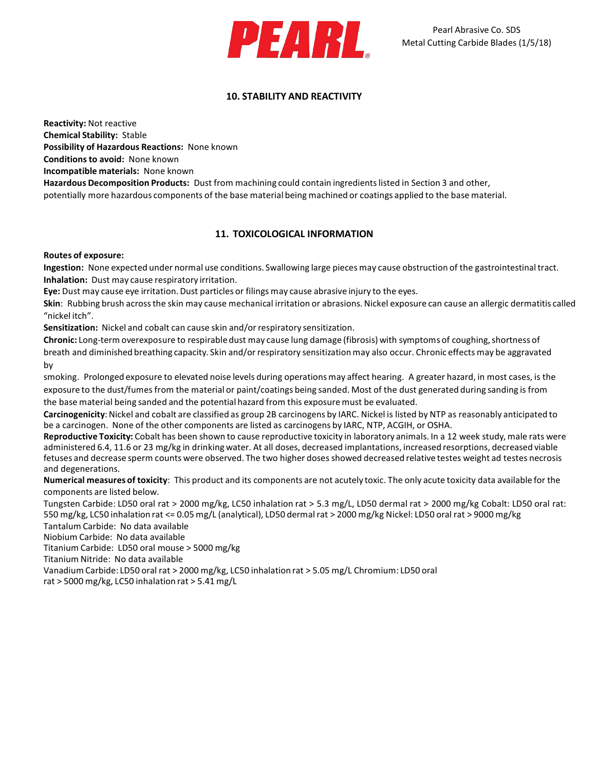

# **10. STABILITY AND REACTIVITY**

**Reactivity:** Not reactive **Chemical Stability:** Stable **Possibility of Hazardous Reactions:** None known

**Conditionsto avoid:** None known

**Incompatible materials:** None known

**Hazardous Decomposition Products:** Dust from machining could contain ingredientslisted in Section 3 and other, potentially more hazardous components of the base material being machined or coatings applied to the base material.

# **11. TOXICOLOGICAL INFORMATION**

## **Routes of exposure:**

**Ingestion:** None expected under normal use conditions. Swallowing large pieces may cause obstruction of the gastrointestinaltract. **Inhalation:** Dust may cause respiratory irritation.

**Eye:** Dust may cause eye irritation.Dust particles or filings may cause abrasive injury to the eyes.

Skin: Rubbing brush across the skin may cause mechanical irritation or abrasions. Nickel exposure can cause an allergic dermatitis called "nickel itch".

**Sensitization:** Nickel and cobalt can cause skin and/orrespiratory sensitization.

**Chronic:** Long-term overexposure to respirable dust may cause lung damage (fibrosis) with symptoms of coughing, shortness of breath and diminished breathing capacity. Skin and/orrespiratory sensitization may also occur. Chronic effects may be aggravated by

smoking. Prolonged exposure to elevated noise levels during operationsmay affect hearing. A greater hazard, in most cases, is the exposure to the dust/fumes from the material or paint/coatings being sanded. Most of the dust generated during sanding is from the base material being sanded and the potential hazard from this exposuremust be evaluated.

Carcinogenicity: Nickel and cobalt are classified as group 2B carcinogens by IARC. Nickel is listed by NTP as reasonably anticipated to be a carcinogen. None of the other components are listed as carcinogens by IARC, NTP, ACGIH, or OSHA.

**Reproductive Toxicity:** Cobalt has been shown to cause reproductive toxicity in laboratory animals. In a 12 week study, male rats were administered 6.4, 11.6 or 23 mg/kg in drinking water. At all doses, decreased implantations, increased resorptions, decreased viable fetuses and decrease sperm counts were observed. The two higher doses showed decreased relative testes weight ad testes necrosis and degenerations.

**Numerical measures of toxicity**: This product and its components are not acutely toxic. The only acute toxicity data available for the components are listed below.

Tungsten Carbide: LD50 oral rat > 2000 mg/kg, LC50 inhalation rat > 5.3 mg/L, LD50 dermal rat > 2000 mg/kg Cobalt: LD50 oral rat: 550 mg/kg, LC50 inhalation rat <= 0.05 mg/L (analytical), LD50 dermalrat > 2000 mg/kg Nickel: LD50 oral rat > 9000 mg/kg Tantalum Carbide: No data available

Niobium Carbide: No data available

Titanium Carbide: LD50 oral mouse > 5000 mg/kg

Titanium Nitride: No data available

Vanadium Carbide: LD50 oral rat > 2000 mg/kg, LC50 inhalation rat > 5.05 mg/L Chromium: LD50 oral

rat > 5000 mg/kg, LC50 inhalation rat > 5.41 mg/L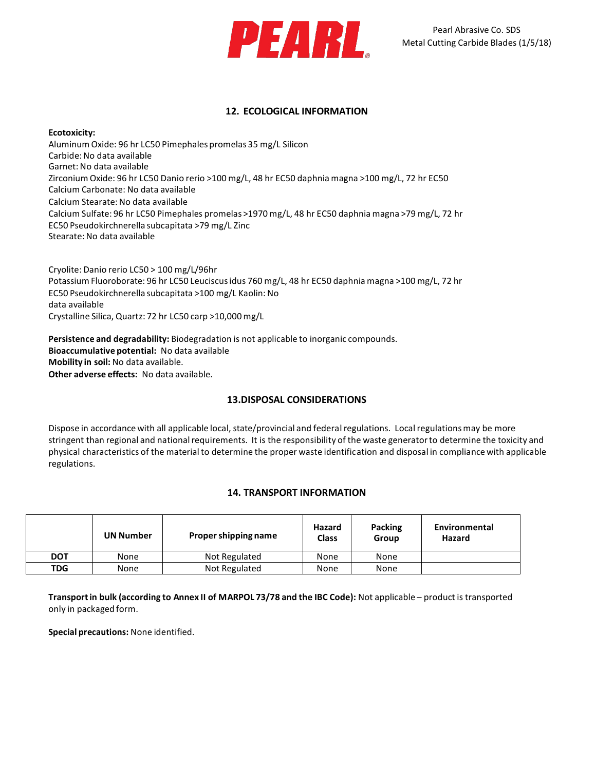

## **12. ECOLOGICAL INFORMATION**

### **Ecotoxicity:**

Aluminum Oxide: 96 hr LC50 Pimephales promelas 35 mg/L Silicon Carbide:No data available Garnet: No data available Zirconium Oxide: 96 hr LC50 Danio rerio >100 mg/L, 48 hr EC50 daphnia magna >100 mg/L, 72 hr EC50 Calcium Carbonate: No data available Calcium Stearate: No data available Calcium Sulfate: 96 hr LC50 Pimephales promelas >1970 mg/L, 48 hr EC50 daphnia magna >79 mg/L, 72 hr EC50 Pseudokirchnerella subcapitata >79 mg/L Zinc Stearate:No data available

Cryolite: Danio rerio LC50 > 100 mg/L/96hr Potassium Fluoroborate: 96 hr LC50 Leuciscusidus 760 mg/L, 48 hr EC50 daphnia magna >100 mg/L, 72 hr EC50 Pseudokirchnerella subcapitata >100 mg/L Kaolin: No data available Crystalline Silica, Quartz: 72 hr LC50 carp >10,000mg/L

**Persistence and degradability:** Biodegradation is not applicable to inorganic compounds. **Bioaccumulative potential:** No data available **Mobility in soil:** No data available. **Other adverse effects:** No data available.

# **13.DISPOSAL CONSIDERATIONS**

Dispose in accordance with all applicable local, state/provincial and federal regulations. Local regulations may be more stringent than regional and national requirements. It is the responsibility of the waste generator to determine the toxicity and physical characteristics of the materialto determine the proper waste identification and disposal in compliance with applicable regulations.

# **14. TRANSPORT INFORMATION**

|            | <b>UN Number</b> | Proper shipping name | Hazard<br>Class | Packing<br>Group | Environmental<br>Hazard |
|------------|------------------|----------------------|-----------------|------------------|-------------------------|
| <b>DOT</b> | None             | Not Regulated        | None            | None             |                         |
| <b>TDG</b> | None             | Not Regulated        | None            | None             |                         |

**Transportin bulk (according to Annex II of MARPOL 73/78 and the IBC Code):** Not applicable – product is transported only in packaged form.

**Special precautions:** None identified.